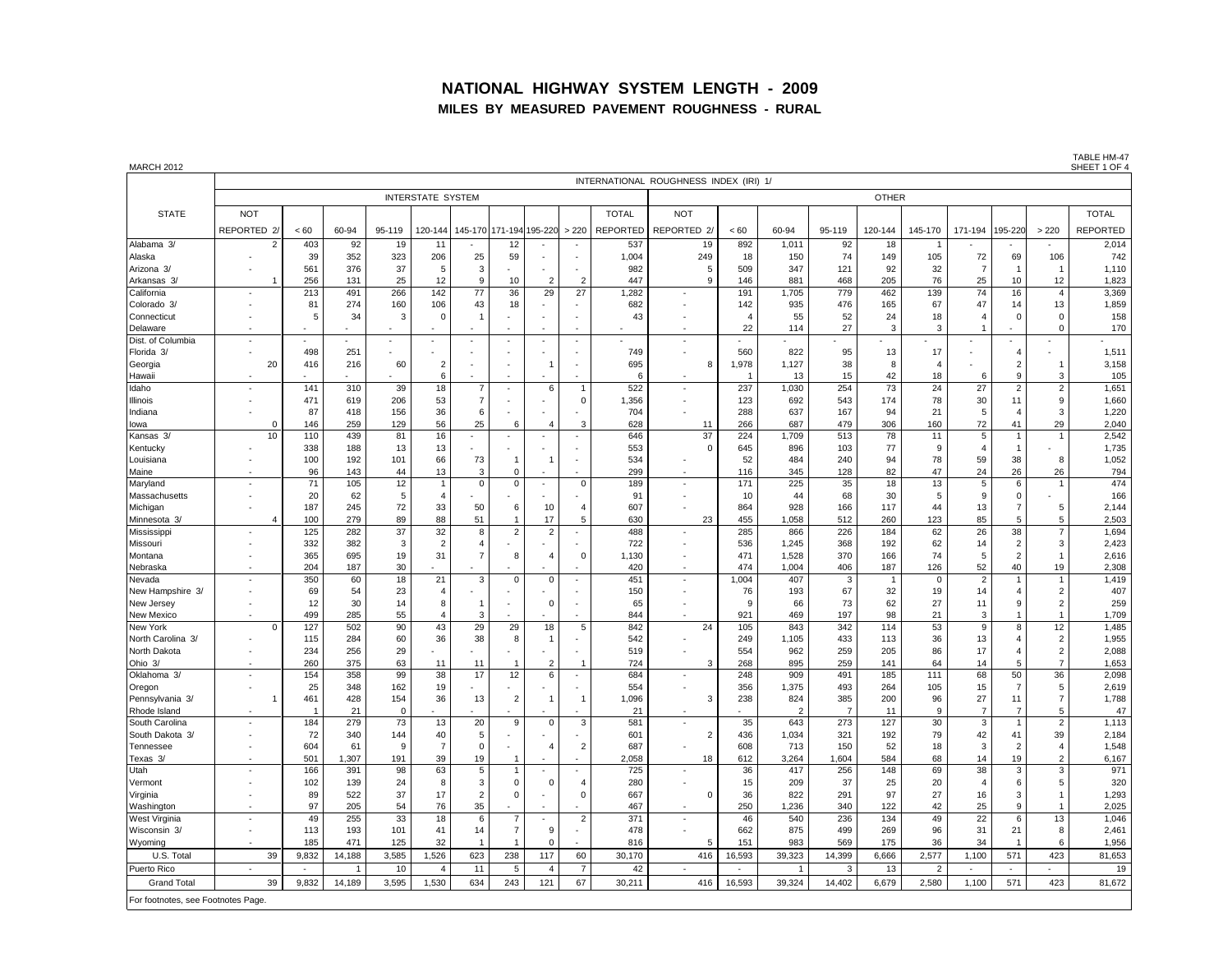#### **NATIONAL HIGHWAY SYSTEM LENGTH - 2009 MILES BY MEASURED PAVEMENT ROUGHNESS - RURAL**

| <b>MARCH 2012</b>                  |                          |                       |            |                      |                         |                  |                |                       |                          |                 |                                                      |                |                       |                       |           |                |                                  |                                |                                  | SHEET 1 OF 4    |
|------------------------------------|--------------------------|-----------------------|------------|----------------------|-------------------------|------------------|----------------|-----------------------|--------------------------|-----------------|------------------------------------------------------|----------------|-----------------------|-----------------------|-----------|----------------|----------------------------------|--------------------------------|----------------------------------|-----------------|
|                                    |                          |                       |            |                      |                         |                  |                |                       |                          |                 | INTERNATIONAL ROUGHNESS INDEX (IRI) 1/               |                |                       |                       |           |                |                                  |                                |                                  |                 |
|                                    | <b>INTERSTATE SYSTEM</b> |                       |            |                      |                         |                  |                |                       |                          |                 | <b>OTHER</b>                                         |                |                       |                       |           |                |                                  |                                |                                  |                 |
| <b>STATE</b>                       | <b>NOT</b>               |                       |            |                      |                         |                  |                |                       |                          | <b>TOTAL</b>    | <b>NOT</b>                                           |                |                       |                       |           |                |                                  |                                |                                  | <b>TOTAL</b>    |
|                                    | REPORTED 2               | < 60                  | 60-94      | 95-119               | 120-144                 | 45-170           | 171-194        | 195-220               | > 220                    | <b>REPORTED</b> | REPORTED 2/                                          | < 60           | 60-94                 | 95-119                | 120-144   | 145-170        | 171-194                          | 195-220                        | > 220                            | <b>REPORTED</b> |
| Alabama 3/                         | 2                        | 403                   | 92         | 19                   | 11                      |                  | 12             |                       |                          | 537             | 19                                                   | 892            | 1,011                 | 92                    | 18        |                |                                  |                                |                                  | 2,014           |
| Alaska                             |                          | 39                    | 352        | 323                  | 206                     | 25               | 59             |                       |                          | 1,004           | 249                                                  | 18             | 150                   | 74                    | 149       | 105            | 72                               | 69                             | 106                              | 742             |
| Arizona 3/                         |                          | 561                   | 376        | 37                   | 5                       | 3                |                |                       |                          | 982             | 5                                                    | 509            | 347                   | 121                   | 92        | 32             | $\overline{7}$                   | $\overline{1}$                 |                                  | 1,110           |
| Arkansas 3/                        |                          | 256                   | 131        | 25                   | 12                      | 9                | 10             |                       | 2                        | 447             | $\mathbf{Q}$                                         | 146            | 881                   | 468                   | 205       | 76             | 25                               | 10                             | 12                               | 1,823           |
| California                         |                          | 213                   | 491        | 266                  | 142                     | $77\,$           | 36             | 29                    | 27                       | 1,282           |                                                      | 191            | 1,705                 | 779                   | 462       | 139            | 74                               | 16                             | $\overline{4}$                   | 3,369           |
| Colorado 3/                        |                          | 81                    | 274        | 160                  | 106                     | 43               | 18             |                       |                          | 682             | $\ddot{\phantom{1}}$                                 | 142            | 935                   | 476                   | 165       | 67             | 47                               | 14                             | 13                               | 1,859           |
| Connecticut                        |                          | 5                     | 34         | -3                   | $\Omega$                | $\mathbf{1}$     |                |                       |                          | 43              |                                                      | $\overline{a}$ | 55                    | 52                    | 24        | 18             | $\overline{4}$                   | $\mathbf 0$                    | $\Omega$                         | 158             |
| Delaware<br>Dist. of Columbia      |                          |                       |            |                      |                         |                  |                |                       |                          |                 | ÷,                                                   | 22             | 114                   | 27                    | 3         | 3              |                                  |                                | $\Omega$                         | 170             |
| Florida 3/                         |                          | 498                   | 251        |                      |                         |                  |                |                       |                          | 749             | $\overline{\phantom{a}}$                             | 560            | 822                   | 95                    | 13        | 17             | ×                                | $\overline{4}$                 |                                  | 1,511           |
| Georgia                            | 20                       | 416                   | 216        | 60                   | $\overline{2}$          |                  |                |                       |                          | 695             | 8                                                    | 1,978          | 1,127                 | 38                    | 8         | $\overline{4}$ |                                  | $\overline{2}$                 |                                  | 3,158           |
| Hawaii                             |                          |                       |            |                      | 6                       |                  |                |                       |                          | 6               |                                                      | $\overline{1}$ | 13                    | 15                    | 42        | 18             | 6                                | 9                              | 3                                | 105             |
| Idaho                              |                          | 141                   | 310        | 39                   | 18                      | $\overline{7}$   | ÷,             | 6                     | $\overline{1}$           | 522             | ÷,                                                   | 237            | 1,030                 | 254                   | 73        | 24             | 27                               | $\overline{2}$                 | $\overline{2}$                   | 1,651           |
| Illinois                           |                          | 471                   | 619        | 206                  | 53                      | $\overline{7}$   |                |                       | $\mathbf 0$              | 1,356           | $\ddot{\phantom{1}}$                                 | 123            | 692                   | 543                   | 174       | 78             | 30                               | 11                             | $\boldsymbol{9}$                 | 1,660           |
| Indiana                            |                          | 87                    | 418        | 156                  | 36                      | 6                |                |                       |                          | 704             | $\ddot{\phantom{1}}$                                 | 288            | 637                   | 167                   | 94        | 21             | 5                                | $\overline{4}$                 | 3                                | 1,220           |
| lowa                               | $\Omega$                 | 146                   | 259        | 129                  | 56                      | 25               | 6              | $\overline{4}$        | 3                        | 628             | 11                                                   | 266            | 687                   | 479                   | 306       | 160            | 72                               | 41                             | 29                               | 2,040           |
| Kansas 3/                          | 10                       | 110                   | 439        | 81                   | 16                      | $\sim$           |                |                       | $\sim$                   | 646             | 37                                                   | 224            | 1,709                 | 513                   | 78        | 11             | 5                                | $\mathbf{1}$                   | $\overline{1}$                   | 2,542           |
| Kentucky                           |                          | 338                   | 188        | 13                   | 13                      |                  |                |                       |                          | 553             | $\Omega$                                             | 645            | 896                   | 103                   | 77        | 9              | $\overline{4}$                   | $\overline{1}$                 |                                  | 1,735           |
| Louisiana                          |                          | 100                   | 192<br>143 | 101                  | 66                      | 73               | 1<br>$\Omega$  | $\mathbf{1}$          |                          | 534<br>299      | $\overline{\phantom{a}}$                             | 52<br>116      | 484                   | 240                   | 94<br>82  | 78<br>47       | 59                               | 38                             | 8                                | 1,052           |
| Maine<br>Maryland                  |                          | 96<br>71              | 105        | 44<br>12             | 13<br>$\overline{1}$    | 3<br>$\mathbf 0$ | $\mathbf 0$    | $\sim$                | $\mathsf 0$              | 189             | ÷,                                                   | 171            | 345<br>225            | 128<br>35             | 18        | 13             | 24<br>5                          | 26<br>6                        | 26<br>$\overline{1}$             | 794<br>474      |
| Massachusetts                      |                          | 20                    | 62         | 5                    | $\overline{4}$          |                  |                |                       |                          | 91              | $\overline{\phantom{a}}$                             | 10             | 44                    | 68                    | 30        | 5              | 9                                | $\mathbf 0$                    |                                  | 166             |
| Michigan                           |                          | 187                   | 245        | 72                   | 33                      | 50               | 6              | 10                    | 4                        | 607             | $\overline{\phantom{a}}$                             | 864            | 928                   | 166                   | 117       | 44             | 13                               | $\overline{7}$                 | $\,$ 5 $\,$                      | 2,144           |
| Minnesota 3/                       |                          | 100                   | 279        | 89                   | 88                      | 51               | $\overline{1}$ | 17                    | 5                        | 630             | 23                                                   | 455            | 1,058                 | 512                   | 260       | 123            | 85                               | 5                              | $\,$ 5 $\,$                      | 2,503           |
| Mississippi                        |                          | 125                   | 282        | 37                   | 32                      | 8                | $\sqrt{2}$     | $\overline{2}$        |                          | 488             |                                                      | 285            | 866                   | 226                   | 184       | 62             | 26                               | 38                             | $\overline{7}$                   | 1,694           |
| Missouri                           |                          | 332                   | 382        | 3                    | $\overline{2}$          | $\overline{4}$   |                |                       |                          | 722             |                                                      | 536            | 1,245                 | 368                   | 192       | 62             | 14                               | $\overline{2}$                 | 3                                | 2,423           |
| Montana                            |                          | 365                   | 695        | 19                   | 31                      | $\overline{7}$   | 8              | $\overline{4}$        | $\mathbf 0$              | 1,130           | ÷,                                                   | 471            | 1,528                 | 370                   | 166       | 74             | 5                                | 2                              | $\overline{1}$                   | 2,616           |
| Nebraska                           |                          | 204                   | 187        | 30                   |                         |                  |                |                       |                          | 420             | $\overline{\phantom{a}}$                             | 474            | 1,004                 | 406                   | 187       | 126            | 52                               | 40                             | 19                               | 2,308           |
| Nevada                             |                          | 350                   | 60         | 18                   | 21                      | $\mathbf 3$      | $\mathbf 0$    | $\mathbf 0$           |                          | 451             | $\overline{\phantom{a}}$                             | 1,004          | 407                   | 3                     | 1         | $\mathbf 0$    | $\overline{c}$                   | $\mathbf{1}$                   | 1                                | 1,419           |
| New Hampshire 3/<br>New Jersey     |                          | 69<br>12              | 54<br>30   | 23<br>14             | $\overline{4}$<br>8     | $\overline{1}$   |                | $\Omega$              |                          | 150<br>65       | $\overline{\phantom{a}}$<br>$\overline{\phantom{a}}$ | 76<br>9        | 193<br>66             | 67<br>73              | 32<br>62  | 19<br>27       | 14<br>11                         | $\overline{4}$<br>9            | $\overline{2}$<br>$\overline{2}$ | 407<br>259      |
| New Mexico                         |                          | 499                   | 285        | 55                   | $\overline{4}$          | 3                |                |                       |                          | 844             |                                                      | 921            | 469                   | 197                   | 98        | 21             | 3                                | $\mathbf{1}$                   | $\overline{1}$                   | 1,709           |
| New York                           | $\Omega$                 | 127                   | 502        | 90                   | 43                      | 29               | 29             | 18                    | $\,$ 5 $\,$              | 842             | 24                                                   | 105            | 843                   | 342                   | 114       | 53             | 9                                | 8                              | 12                               | 1,485           |
| North Carolina<br>$\mathcal{R}$    |                          | 115                   | 284        | 60                   | 36                      | 38               | 8              | $\overline{1}$        |                          | 542             | $\overline{\phantom{a}}$                             | 249            | 1,105                 | 433                   | 113       | 36             | 13                               | $\overline{4}$                 | $\overline{2}$                   | 1,955           |
| North Dakota                       |                          | 234                   | 256        | 29                   |                         |                  |                |                       |                          | 519             |                                                      | 554            | 962                   | 259                   | 205       | 86             | 17                               | $\overline{A}$                 | $\overline{2}$                   | 2,088           |
| Ohio 3/                            |                          | 260                   | 375        | 63                   | 11                      | 11               | -1             | $\overline{2}$        | 1                        | 724             | 3                                                    | 268            | 895                   | 259                   | 141       | 64             | 14                               | 5                              | $\overline{7}$                   | 1,653           |
| Oklahoma 3/                        | ÷.                       | 154                   | 358        | 99                   | 38                      | 17               | 12             | 6                     | $\overline{\phantom{a}}$ | 684             | ÷,                                                   | 248            | 909                   | 491                   | 185       | 111            | 68                               | 50                             | 36                               | 2,098           |
| Oregon                             |                          | 25                    | 348        | 162                  | 19                      |                  |                |                       |                          | 554             | $\overline{\phantom{a}}$                             | 356            | 1,375                 | 493                   | 264       | 105            | 15                               | $\overline{7}$                 | 5                                | 2,619           |
| Pennsylvania 3/                    |                          | 461                   | 428        | 154                  | 36                      | 13               | $\overline{2}$ | $\overline{1}$        | $\overline{1}$           | 1,096           | 3                                                    | 238            | 824                   | 385                   | 200       | 96             | 27                               | 11                             | $\overline{7}$                   | 1,788           |
| Rhode Island<br>South Carolina     |                          | $\overline{1}$<br>184 | 21<br>279  | $\overline{0}$<br>73 | 13                      | 20               | 9              | $\mathbf 0$           | 3                        | 21<br>581       |                                                      | 35             | $\overline{2}$<br>643 | $\overline{7}$<br>273 | 11<br>127 | 9<br>30        | $\overline{7}$<br>$\overline{3}$ | $\overline{7}$<br>$\mathbf{1}$ | 5<br>$\overline{2}$              | 47<br>1,113     |
| South Dakota 3/                    |                          | 72                    | 340        | 144                  | 40                      | 5                |                |                       |                          | 601             | $\overline{2}$                                       | 436            | 1,034                 | 321                   | 192       | 79             | 42                               | 41                             | 39                               | 2,184           |
| Tennessee                          |                          | 604                   | 61         | 9                    | $\overline{7}$          | $\mathbf 0$      |                | $\overline{4}$        | $\overline{2}$           | 687             | $\sim$                                               | 608            | 713                   | 150                   | 52        | 18             | 3                                | $\overline{2}$                 | $\overline{4}$                   | 1,548           |
| Texas 3/                           |                          | 501                   | 1.307      | 191                  | 39                      | 19               |                |                       |                          | 2,058           | 18                                                   | 612            | 3,264                 | 1,604                 | 584       | 68             | 14                               | 19                             | $\overline{2}$                   | 6,167           |
| Utah                               |                          | 166                   | 391        | 98                   | 63                      | 5                | $\mathbf{1}$   |                       |                          | 725             | ÷,                                                   | 36             | 417                   | 256                   | 148       | 69             | 38                               | 3                              | 3                                | 971             |
| Vermont                            |                          | 102                   | 139        | 24                   | 8                       | 3                | $\mathbf 0$    | $\mathbf 0$           | $\overline{4}$           | 280             |                                                      | 15             | 209                   | 37                    | 25        | 20             | $\overline{4}$                   | 6                              | 5                                | 320             |
| Virginia                           |                          | 89                    | 522        | 37                   | 17                      | $\overline{2}$   | $\mathbf 0$    |                       | $\mathsf 0$              | 667             | $\mathbf 0$                                          | 36             | 822                   | 291                   | 97        | 27             | 16                               | 3                              | 1                                | 1,293           |
| Washington                         |                          | 97                    | 205        | 54                   | 76                      | 35               |                |                       |                          | 467             | $\overline{\phantom{a}}$                             | 250            | 1,236                 | 340                   | 122       | 42             | 25                               | 9                              | $\overline{1}$                   | 2,025           |
| West Virginia                      |                          | 49                    | 255        | 33                   | 18                      | 6                | $\overline{7}$ |                       | $\overline{2}$           | 371             | $\overline{\phantom{a}}$                             | 46             | 540                   | 236                   | 134       | 49             | 22                               | 6                              | 13                               | 1,046           |
| Wisconsin 3/                       |                          | 113                   | 193        | 101                  | 41                      | 14               | $\overline{7}$ | 9                     |                          | 478             |                                                      | 662            | 875                   | 499                   | 269       | 96             | 31                               | 21                             | 8                                | 2,461           |
| Wyoming                            |                          | 185                   | 471        | 125                  | 32                      | $\overline{1}$   |                | $\Omega$              |                          | 816             |                                                      | 151            | 983                   | 569                   | 175       | 36             | 34                               |                                | 6                                | 1,956           |
| U.S. Total                         | 39<br>$\sim$             | 9,832                 | 14,188     | 3,585                | 1,526<br>$\overline{4}$ | 623              | 238            | 117                   | 60                       | 30,170          | 416<br>$\sim$                                        | 16,593         | 39,323                | 14,399<br>3           | 6,666     | 2,577          | 1,100<br>$\sim$                  | 571<br>$\sim$                  | 423                              | 81,653          |
| Puerto Rico                        |                          | $\sim$                |            | 10<br>3,595          | 1,530                   | 11               | 5<br>243       | $\overline{4}$<br>121 | $\overline{7}$<br>67     | 42              |                                                      | $\overline{a}$ |                       |                       | 13        | $\overline{2}$ |                                  | 571                            |                                  | 19<br>81,672    |
| <b>Grand Total</b>                 | 39                       | 9,832                 | 14,189     |                      |                         | 634              |                |                       |                          | 30,211          | 416                                                  | 16,593         | 39,324                | 14,402                | 6,679     | 2,580          | 1,100                            |                                | 423                              |                 |
| For footnotes, see Footnotes Page. |                          |                       |            |                      |                         |                  |                |                       |                          |                 |                                                      |                |                       |                       |           |                |                                  |                                |                                  |                 |

TABLE HM-47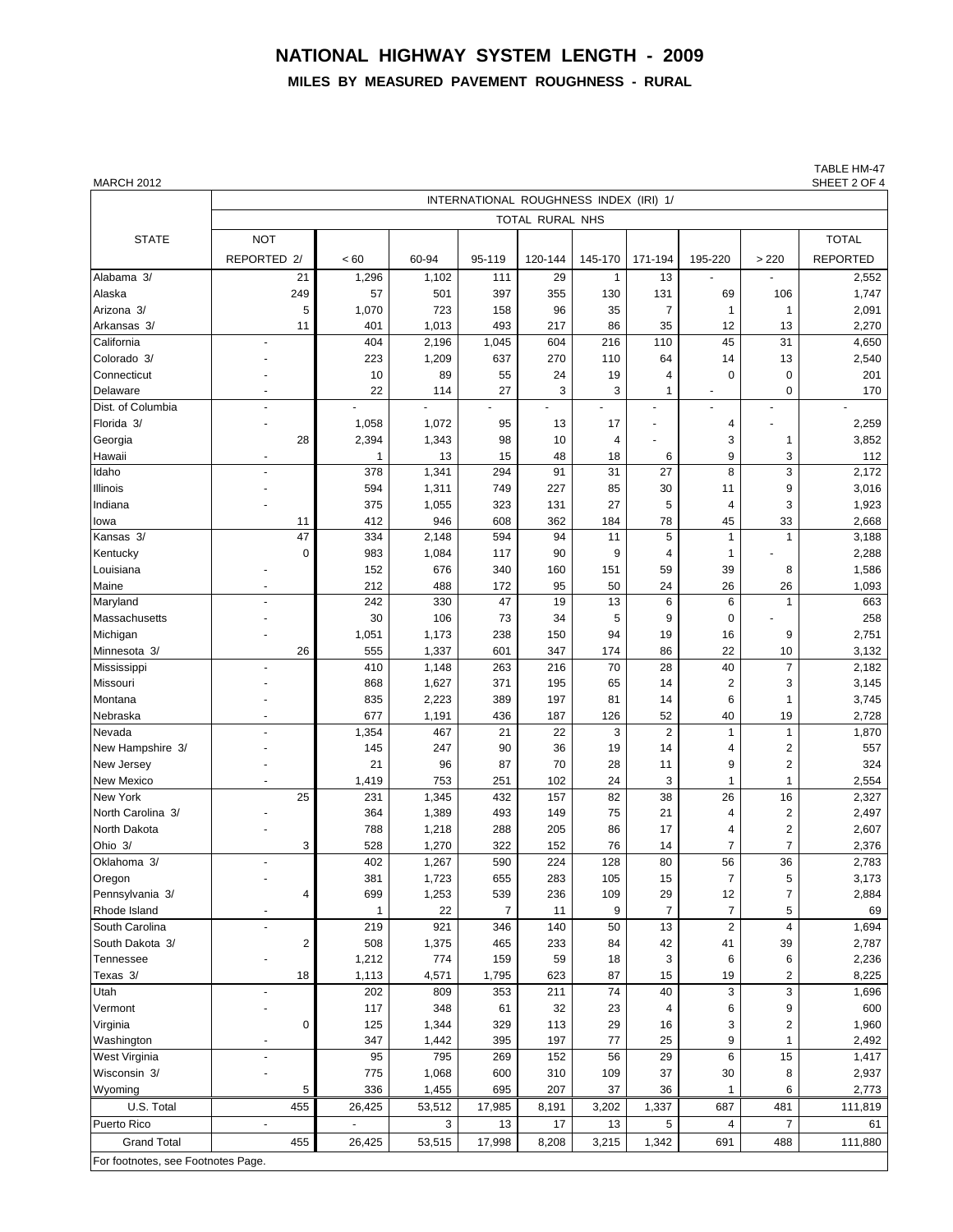# **NATIONAL HIGHWAY SYSTEM LENGTH - 2009**

## **MILES BY MEASURED PAVEMENT ROUGHNESS - RURAL**

TABLE HM-47<br>SHEET 2 OF 4

| <b>MARCH 2012</b>                  |                                        |                |              |              |           |          |                |                |                         | SHEET 2 OF 4    |  |  |  |  |  |
|------------------------------------|----------------------------------------|----------------|--------------|--------------|-----------|----------|----------------|----------------|-------------------------|-----------------|--|--|--|--|--|
|                                    | INTERNATIONAL ROUGHNESS INDEX (IRI) 1/ |                |              |              |           |          |                |                |                         |                 |  |  |  |  |  |
|                                    | TOTAL RURAL NHS                        |                |              |              |           |          |                |                |                         |                 |  |  |  |  |  |
| <b>STATE</b>                       | <b>NOT</b>                             |                |              |              |           |          |                |                |                         | <b>TOTAL</b>    |  |  |  |  |  |
|                                    | REPORTED 2/                            | < 60           | 60-94        | 95-119       | 120-144   | 145-170  | 171-194        | 195-220        | > 220                   | <b>REPORTED</b> |  |  |  |  |  |
| Alabama 3/                         | 21                                     | 1,296          | 1,102        | 111          | 29        | 1        | 13             |                |                         | 2,552           |  |  |  |  |  |
| Alaska                             | 249                                    | 57             | 501          | 397          | 355       | 130      | 131            | 69             | 106                     | 1,747           |  |  |  |  |  |
| Arizona 3/                         | 5                                      | 1,070          | 723          | 158          | 96        | 35       | $\overline{7}$ | $\mathbf{1}$   | $\mathbf{1}$            | 2,091           |  |  |  |  |  |
| Arkansas 3/                        | 11                                     | 401            | 1,013        | 493          | 217       | 86       | 35             | 12             | 13                      | 2,270           |  |  |  |  |  |
| California                         |                                        | 404            | 2,196        | 1,045        | 604       | 216      | 110            | 45             | 31                      | 4,650           |  |  |  |  |  |
| Colorado 3/                        |                                        | 223            | 1,209        | 637          | 270       | 110      | 64             | 14             | 13                      | 2,540           |  |  |  |  |  |
| Connecticut                        |                                        | 10             | 89           | 55           | 24        | 19       | 4              | 0              | 0                       | 201             |  |  |  |  |  |
| Delaware                           |                                        | 22             | 114          | 27           | 3         | 3        | 1              |                | $\Omega$                | 170             |  |  |  |  |  |
| Dist. of Columbia                  |                                        |                |              |              |           |          | $\blacksquare$ |                |                         |                 |  |  |  |  |  |
| Florida 3/                         |                                        | 1,058          | 1,072        | 95           | 13        | 17       |                | 4              |                         | 2,259           |  |  |  |  |  |
| Georgia                            | 28                                     | 2,394          | 1,343        | 98           | 10        | 4        |                | 3              | 1                       | 3,852           |  |  |  |  |  |
| Hawaii                             | $\blacksquare$                         | 1              | 13           | 15           | 48        | 18       | 6              | 9              | 3                       | 112             |  |  |  |  |  |
| Idaho                              |                                        | 378            | 1,341        | 294          | 91        | 31       | 27             | 8              | 3                       | 2,172           |  |  |  |  |  |
| Illinois                           |                                        | 594            | 1,311        | 749          | 227       | 85       | 30             | 11             | 9                       | 3,016           |  |  |  |  |  |
| Indiana                            |                                        | 375            | 1,055        | 323          | 131       | 27       | 5              | 4              | 3                       | 1,923           |  |  |  |  |  |
| lowa                               | 11                                     | 412            | 946          | 608          | 362       | 184      | 78             | 45             | 33                      | 2,668           |  |  |  |  |  |
| Kansas 3/                          | $\overline{47}$                        | 334            | 2,148        | 594          | 94        | 11       | 5              | $\mathbf{1}$   | 1                       | 3,188           |  |  |  |  |  |
| Kentucky                           | $\mathbf 0$                            | 983            | 1,084        | 117          | 90        | 9        | 4              | 1              |                         | 2,288           |  |  |  |  |  |
| Louisiana                          |                                        | 152            | 676          | 340          | 160       | 151      | 59             | 39             | 8                       | 1,586           |  |  |  |  |  |
| Maine<br>Maryland                  |                                        | 212<br>242     | 488<br>330   | 172<br>47    | 95<br>19  | 50<br>13 | 24<br>6        | 26<br>6        | 26<br>$\mathbf{1}$      | 1,093<br>663    |  |  |  |  |  |
| Massachusetts                      |                                        | 30             | 106          | 73           | 34        | 5        | 9              | 0              |                         | 258             |  |  |  |  |  |
| Michigan                           |                                        | 1,051          | 1,173        | 238          | 150       | 94       | 19             | 16             | 9                       | 2,751           |  |  |  |  |  |
| Minnesota 3/                       | 26                                     | 555            | 1,337        | 601          | 347       | 174      | 86             | 22             | 10                      | 3,132           |  |  |  |  |  |
| Mississippi                        |                                        | 410            | 1,148        | 263          | 216       | 70       | 28             | 40             | $\overline{7}$          | 2,182           |  |  |  |  |  |
| Missouri                           |                                        | 868            | 1,627        | 371          | 195       | 65       | 14             | 2              | 3                       | 3,145           |  |  |  |  |  |
| Montana                            |                                        | 835            | 2,223        | 389          | 197       | 81       | 14             | 6              | 1                       | 3,745           |  |  |  |  |  |
| Nebraska                           |                                        | 677            | 1,191        | 436          | 187       | 126      | 52             | 40             | 19                      | 2,728           |  |  |  |  |  |
| Nevada                             |                                        | 1,354          | 467          | 21           | 22        | 3        | $\overline{2}$ | $\mathbf{1}$   | $\mathbf{1}$            | 1,870           |  |  |  |  |  |
| New Hampshire 3/                   |                                        | 145            | 247          | 90           | 36        | 19       | 14             | 4              | 2                       | 557             |  |  |  |  |  |
| New Jersey                         |                                        | 21             | 96           | 87           | 70        | 28       | 11             | 9              | $\overline{2}$          | 324             |  |  |  |  |  |
| New Mexico                         |                                        | 1,419          | 753          | 251          | 102       | 24       | 3              | $\mathbf{1}$   | 1                       | 2,554           |  |  |  |  |  |
| New York                           | 25                                     | 231            | 1,345        | 432          | 157       | 82       | 38             | 26             | 16                      | 2,327           |  |  |  |  |  |
| North Carolina 3/                  |                                        | 364            | 1,389        | 493          | 149       | 75       | 21             | 4              | 2                       | 2,497           |  |  |  |  |  |
| North Dakota                       |                                        | 788            | 1,218        | 288          | 205       | 86       | 17             | 4              | $\overline{\mathbf{c}}$ | 2,607           |  |  |  |  |  |
| Ohio 3/                            | 3                                      | 528            | 1,270        | 322          | 152       | 76       | 14             | 7              | 7                       | 2,376           |  |  |  |  |  |
| Oklahoma 3/                        |                                        | 402            | 1,267        | 590          | 224       | 128      | 80             | 56             | 36                      | 2,783           |  |  |  |  |  |
| Oregon                             |                                        | 381            | 1,723        | 655          | 283       | 105      | 15             | $\overline{7}$ | 5                       | 3,173           |  |  |  |  |  |
| Pennsylvania 3/                    | 4                                      | 699            | 1,253        | 539          | 236       | 109      | 29             | 12             | $\overline{7}$          | 2,884           |  |  |  |  |  |
| Rhode Island                       | $\blacksquare$                         | 1              | 22           | 7            | 11        | 9        | $\overline{7}$ | 7              | 5                       | 69              |  |  |  |  |  |
| South Carolina                     |                                        | 219            | 921          | 346          | 140       | 50       | 13             | $\overline{c}$ | 4                       | 1,694           |  |  |  |  |  |
| South Dakota 3/                    | 2                                      | 508            | 1,375        | 465          | 233       | 84       | 42             | 41             | 39                      | 2,787           |  |  |  |  |  |
| Tennessee<br>Texas 3/              | 18                                     | 1,212<br>1,113 | 774          | 159          | 59<br>623 | 18<br>87 | 3<br>15        | 6<br>19        | 6<br>2                  | 2,236<br>8,225  |  |  |  |  |  |
| Utah                               |                                        | 202            | 4,571<br>809 | 1,795<br>353 | 211       | 74       | 40             | 3              | 3                       | 1,696           |  |  |  |  |  |
| Vermont                            |                                        | 117            | 348          | 61           | 32        | 23       | 4              | 6              | 9                       | 600             |  |  |  |  |  |
| Virginia                           | 0                                      | 125            | 1,344        | 329          | 113       | 29       | 16             | 3              | 2                       | 1,960           |  |  |  |  |  |
| Washington                         |                                        | 347            | 1,442        | 395          | 197       | 77       | 25             | 9              | 1                       | 2,492           |  |  |  |  |  |
| West Virginia                      |                                        | 95             | 795          | 269          | 152       | 56       | 29             | 6              | 15                      | 1,417           |  |  |  |  |  |
| Wisconsin 3/                       |                                        | 775            | 1,068        | 600          | 310       | 109      | 37             | 30             | 8                       | 2,937           |  |  |  |  |  |
| Wyoming                            | 5                                      | 336            | 1,455        | 695          | 207       | 37       | 36             | 1              | 6                       | 2,773           |  |  |  |  |  |
| U.S. Total                         | 455                                    | 26,425         | 53,512       | 17,985       | 8,191     | 3,202    | 1,337          | 687            | 481                     | 111,819         |  |  |  |  |  |
| Puerto Rico                        | $\blacksquare$                         | $\blacksquare$ | 3            | 13           | 17        | 13       | 5              | 4              | 7                       | 61              |  |  |  |  |  |
| <b>Grand Total</b>                 | 455                                    | 26,425         | 53,515       | 17,998       | 8,208     | 3,215    | 1,342          | 691            | 488                     | 111,880         |  |  |  |  |  |
| For footnotes, see Footnotes Page. |                                        |                |              |              |           |          |                |                |                         |                 |  |  |  |  |  |
|                                    |                                        |                |              |              |           |          |                |                |                         |                 |  |  |  |  |  |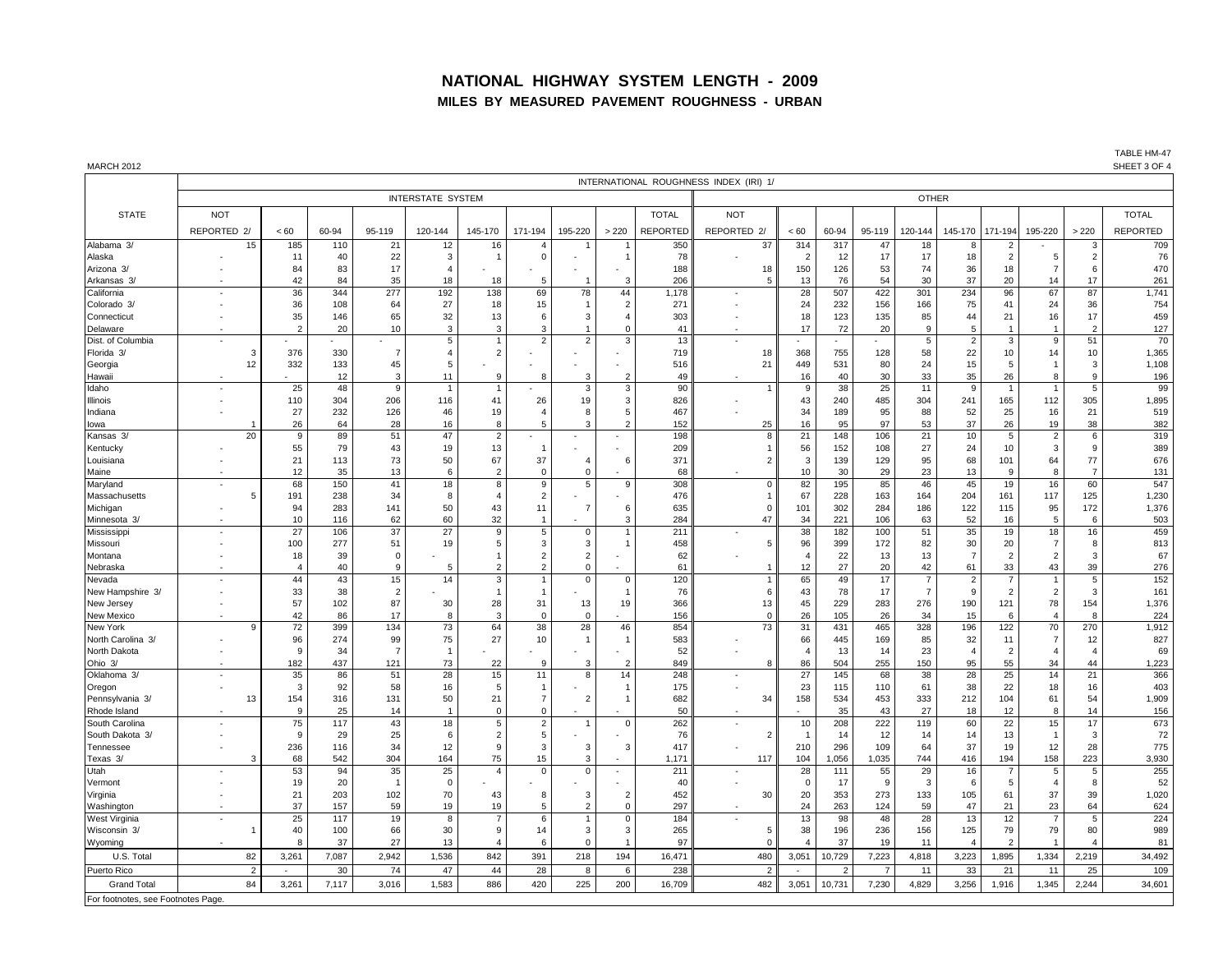### **NATIONAL HIGHWAY SYSTEM LENGTH - 2009 MILES BY MEASURED PAVEMENT ROUGHNESS - URBAN**

TABLE HM-47<br>SHEET 3 OF 4

| <b>MARCH 2012</b>                 |                          |                |                                        |                |                |                      |                       |                      |                               |                 |             |                |                |                |                |                |                |                |                      |                | SHEET 3 OF 4    |
|-----------------------------------|--------------------------|----------------|----------------------------------------|----------------|----------------|----------------------|-----------------------|----------------------|-------------------------------|-----------------|-------------|----------------|----------------|----------------|----------------|----------------|----------------|----------------|----------------------|----------------|-----------------|
|                                   |                          |                | INTERNATIONAL ROUGHNESS INDEX (IRI) 1/ |                |                |                      |                       |                      |                               |                 |             |                |                |                |                |                |                |                |                      |                |                 |
|                                   |                          | <b>OTHER</b>   |                                        |                |                |                      |                       |                      |                               |                 |             |                |                |                |                |                |                |                |                      |                |                 |
| <b>STATE</b>                      | <b>NOT</b>               |                |                                        |                |                |                      |                       |                      |                               | <b>TOTAL</b>    | <b>NOT</b>  |                |                |                |                |                |                |                |                      |                | <b>TOTAL</b>    |
|                                   | REPORTED 2/              | < 60           | 60-94                                  | 95-119         | 120-144        | 145-170              | 171-194               | 195-220              | > 220                         | <b>REPORTED</b> | REPORTED 2/ |                | < 60           | 60-94          | 95-119         | 120-144        | 145-170        | 171-194        | 195-220              | > 220          | <b>REPORTED</b> |
| Alabama 3/                        | 15                       | 185            | 110                                    | 21             | 12             | 16                   | $\boldsymbol{\Delta}$ |                      |                               | 350             |             | 37             | 314            | 317            | 47             | 18             | 8              | $\mathcal{P}$  |                      | 3              | 709             |
| Alaska                            |                          | 11             | 40                                     | 22             | 3              | -1                   | 0                     |                      | 1                             | 78              |             |                | $\overline{2}$ | 12             | 17             | 17             | 18             | $\overline{2}$ | 5                    | $\overline{2}$ | 76              |
| Arizona 3/                        |                          | 84             | 83                                     | 17             | $\overline{4}$ |                      |                       |                      |                               | 188             |             | 18             | 150            | 126            | 53             | 74             | 36             | 18             | $\overline{7}$       | 6              | 470             |
| Arkansas 3/                       |                          | 42             | 84                                     | 35             | 18             | 18                   | 5                     | $\overline{1}$       | 3                             | 206             |             | 5              | 13             | 76             | 54             | 30             | 37             | 20             | 14                   | 17             | 261             |
| California                        | $\overline{\phantom{a}}$ | 36             | 344                                    | 277            | 192            | 138                  | 69                    | 78                   | 44                            | 1,178           |             |                | 28             | 507            | 422            | 301            | 234            | 96             | 67                   | 87             | 1,741           |
| Colorado 3/                       |                          | 36             | 108                                    | 64             | 27             | 18                   | 15                    | $\overline{1}$       | $\overline{2}$                | 271             |             |                | 24             | 232            | 156            | 166            | 75             | 41             | 24                   | 36             | 754             |
| Connecticut                       |                          | 35             | 146                                    | 65             | 32             | 13                   | 6                     | 3                    | $\overline{4}$                | 303             |             |                | 18             | 123            | 135            | 85             | 44             | 21             | 16                   | 17             | 459             |
| Delaware                          |                          | $\overline{2}$ | 20                                     | 10             | 3              | 3                    | 3                     | $\overline{1}$       | $\Omega$                      | 41              |             |                | 17             | 72             | 20             | 9              | -5             | $\overline{1}$ |                      | $\overline{2}$ | 127             |
| Dist. of Columbia                 |                          |                |                                        |                | $\overline{5}$ |                      | $\overline{2}$        | $\overline{2}$       | 3                             | 13              |             |                |                |                |                | $\overline{5}$ | $\overline{2}$ | 3              | 9                    | 51             | 70              |
| Florida 3/                        | З                        | 376            | 330                                    | $\overline{7}$ | $\overline{4}$ | $\sqrt{2}$           |                       |                      |                               | 719             |             | 18             | 368            | 755            | 128            | 58             | 22             | 10             | 14                   | 10             | 1,365           |
| Georgia                           | 12                       | 332            | 133                                    | 45             | 5              |                      |                       |                      |                               | 516             |             | 21             | 449            | 531            | 80             | 24             | 15             | 5              |                      | 3              | 1,108           |
| Hawaii                            |                          |                | 12                                     | 3              | 11             | 9                    | 8                     | 3                    | $\overline{2}$                | 49              |             |                | 16             | 40             | 30             | 33             | 35             | 26             | 8<br>$\overline{1}$  | 9              | 196             |
| Idaho                             | $\overline{\phantom{a}}$ | 25             | 48                                     | 9              | $\mathbf{1}$   | $\overline{1}$       |                       | 3                    | 3                             | 90              |             |                | 9              | 38             | 25             | 11             | 9              | $\overline{1}$ |                      | 5              | 99              |
| Illinois                          |                          | 110<br>27      | 304<br>232                             | 206<br>126     | 116<br>46      | 41<br>19             | 26<br>$\overline{4}$  | 19<br>-8             | 3<br>5                        | 826<br>467      |             |                | 43<br>34       | 240<br>189     | 485<br>95      | 304<br>88      | 241<br>52      | 165<br>25      | 112                  | 305<br>21      | 1,895<br>519    |
| Indiana<br>lowa                   |                          | 26             | 64                                     | 28             | 16             | 8                    |                       | p                    | $\overline{a}$                | 152             |             | 25             | 16             | 95             | 97             | 53             | 37             | 26             | 16<br>19             | 38             | 382             |
| Kansas 3/                         | 20                       | 9              | 89                                     | 51             | 47             | $\overline{2}$       |                       |                      |                               | 198             |             | 8              | 21             | 148            | 106            | 21             | 10             | $\,$ 5 $\,$    | $\overline{2}$       | 6              | 319             |
| Kentucky                          |                          | 55             | 79                                     | 43             | 19             | 13                   | - 1                   |                      |                               | 209             |             |                | 56             | 152            | 108            | 27             | 24             | 10             | 3                    | 9              | 389             |
| Louisiana                         |                          | 21             | 113                                    | 73             | 50             | 67                   | 37                    | $\overline{4}$       | 6                             | 371             |             | $\overline{2}$ | 3              | 139            | 129            | 95             | 68             | 101            | 64                   | 77             | 676             |
| Maine                             |                          | 12             | 35                                     | 13             | 6              | $\overline{2}$       | $\Omega$              | $\Omega$             |                               | 68              |             |                | 10             | 30             | 29             | 23             | 13             | 9              | 8                    | $\overline{7}$ | 131             |
| Maryland                          |                          | 68             | 150                                    | 41             | 18             | 8                    | 9                     | 5                    | 9                             | 308             |             | $\Omega$       | 82             | 195            | 85             | 46             | 45             | 19             | 16                   | 60             | 547             |
| Massachusetts                     | 5                        | 191            | 238                                    | 34             | 8              | $\overline{4}$       | $\overline{2}$        |                      |                               | 476             |             |                | 67             | 228            | 163            | 164            | 204            | 161            | 117                  | 125            | 1,230           |
| Michigan                          |                          | 94             | 283                                    | 141            | 50             | 43                   | 11                    | $\overline{7}$       | 6                             | 635             |             | $\Omega$       | 101            | 302            | 284            | 186            | 122            | 115            | 95                   | 172            | 1,376           |
| Minnesota<br>ર                    |                          | 10             | 116                                    | 62             | 60             | 32                   |                       |                      | 3                             | 284             |             | 47             | 34             | 221            | 106            | 63             | 52             | 16             | 5                    | 6              | 503             |
| Mississipp                        | $\overline{\phantom{a}}$ | 27             | 106                                    | 37             | 27             | 9                    | 5                     | $\mathbf 0$          | $\overline{1}$                | 211             |             |                | 38             | 182            | 100            | 51             | 35             | 19             | 18                   | 16             | 459             |
| Missouri                          |                          | 100            | 277                                    | 51             | 19             | 5                    | 3                     | 3                    | 1                             | 458             |             | 5              | 96             | 399            | 172            | 82             | 30             | 20             | $\overline{7}$       | 8              | 813             |
| Montana                           |                          | 18             | 39                                     | $\overline{0}$ |                | $\overline{1}$       | $\overline{2}$        | $\overline{2}$       |                               | 62              |             |                | $\overline{4}$ | 22             | 13             | 13             | $\overline{7}$ | $\overline{2}$ | $\overline{2}$       | 3              | 67              |
| Nebraska                          |                          | $\overline{4}$ | 40                                     | 9              | 5              | $\overline{2}$       | $\overline{2}$        | $\mathbf 0$          |                               | 61              |             |                | 12             | 27             | 20             | 42             | 61             | 33             | 43                   | 39             | 276             |
| Nevada                            |                          | 44             | 43                                     | 15             | 14             | 3                    |                       | $\mathbf 0$          | 0                             | 120             |             |                | 65             | 49             | 17             | $\overline{7}$ | $\overline{2}$ | $\overline{7}$ |                      | 5              | 152             |
| New Hampshire 3/                  |                          | 33             | 38                                     | $\overline{2}$ |                | $\overline{1}$       | -1                    |                      | $\overline{1}$                | 76              |             | 6              | 43             | 78             | 17             | $\overline{7}$ | -9             | 2              | $\overline{2}$       | 3              | 161             |
| New Jersey<br>New Mexico          |                          | 57<br>42       | 102<br>86                              | 87             | 30<br>8        | 28<br>3              | 31<br>$\overline{0}$  | 13<br>$\overline{0}$ | 19                            | 366<br>156      |             | 13<br>$\Omega$ | 45             | 229<br>105     | 283<br>26      | 276<br>34      | 190<br>15      | 121            | 78<br>$\overline{a}$ | 154<br>8       | 1,376<br>224    |
| New York                          | $\mathbf{a}$             | 72             | 399                                    | 17<br>134      | 73             | 64                   | 38                    | 28                   | 46                            | 854             |             | 73             | 26<br>31       | 431            | 465            | 328            | 196            | 6<br>122       | 70                   | 270            | 1,912           |
| North Carolina 3/                 |                          | 96             | 274                                    | 99             | 75             | 27                   | 10                    | $\overline{1}$       | $\overline{1}$                | 583             |             |                | 66             | 445            | 169            | 85             | 32             | 11             | $\overline{7}$       | 12             | 827             |
| North Dakota                      |                          | 9              | 34                                     | $\overline{7}$ | $\overline{1}$ |                      |                       |                      |                               | 52              |             |                | $\overline{4}$ | 13             | 14             | 23             | $\overline{4}$ | $\overline{2}$ | $\overline{4}$       | $\overline{4}$ | 69              |
| Ohio 3/                           |                          | 182            | 437                                    | 121            | 73             | 22                   | 9                     | 3                    | $\overline{2}$                | 849             |             | 8              | 86             | 504            | 255            | 150            | 95             | 55             | 34                   | 44             | 1,223           |
| Oklahoma 3/                       | $\sim$                   | 35             | 86                                     | 51             | 28             | 15                   | 11                    | -8                   | 14                            | 248             |             |                | 27             | 145            | 68             | 38             | 28             | 25             | 14                   | 21             | 366             |
| Oregon                            |                          | 3              | 92                                     | 58             | 16             | 5                    |                       |                      | -1                            | 175             |             |                | 23             | 115            | 110            | 61             | 38             | 22             | 18                   | 16             | 403             |
| Pennsylvania 3/                   | 13                       | 154            | 316                                    | 131            | 50             | 21                   | $\overline{7}$        | $\overline{2}$       | $\mathbf{1}$                  | 682             |             | 34             | 158            | 534            | 453            | 333            | 212            | 104            | 61                   | 54             | 1.909           |
| Rhode Island                      |                          | 9              | 25                                     | 14             | $\overline{1}$ | $\mathbf 0$          | $\mathbf 0$           |                      |                               | 50              |             |                |                | 35             | 43             | 27             | 18             | 12             | 8                    | 14             | 156             |
| South Carolina                    |                          | 75             | 117                                    | 43             | 18             | 5                    | $\overline{2}$        | -1                   | $\mathbf 0$                   | 262             |             |                | 10             | 208            | 222            | 119            | 60             | 22             | 15                   | 17             | 673             |
| South Dakota 3/                   |                          | 9              | 29                                     | 25             | 6              | $\overline{2}$       | 5                     |                      |                               | 76              |             | $\overline{2}$ |                | 14             | 12             | 14             | 14             | 13             | -1                   | $\mathbf{3}$   | 72              |
| Tennessee                         | $\overline{\phantom{a}}$ | 236            | 116                                    | 34             | 12             | 9                    | 3                     | 3                    | 3                             | 417             |             |                | 210            | 296            | 109            | 64             | 37             | 19             | 12                   | 28             | 775             |
| Texas 3/                          | 3                        | 68             | 542                                    | 304            | 164            | 75                   | 15                    | 3                    |                               | 1.171           |             | 117            | 104            | 1,056          | 1,035          | 744            | 416            | 194            | 158                  | 223            | 3,930           |
| Utah                              |                          | 53             | 94                                     | 35             | 25             | $\overline{4}$       | $\Omega$              | $\Omega$             | ÷                             | 211             |             |                | 28             | 111            | 55             | 29             | 16             | $\overline{7}$ | 5                    | 5              | 255             |
| Vermont                           |                          | 19             | 20                                     | $\overline{1}$ | $\overline{0}$ |                      |                       |                      |                               | 40              |             |                | $\mathbf{0}$   | 17             | 9              | 3              | -6             | 5              | $\overline{4}$       | 8              | 52              |
| Virginia                          |                          | 21             | 203                                    | 102            | 70             | 43                   | 8                     | 3<br>$\overline{2}$  | $\overline{2}$<br>$\mathbf 0$ | 452<br>297      |             | 30             | 20             | 353            | 273            | 133            | 105            | 61             | 37                   | 39             | 1,020           |
| Washington                        |                          | 37             | 157                                    | 59             | 19             | 19<br>$\overline{7}$ | 5<br>6                |                      | $\mathbf 0$                   |                 |             |                | 24             | 263<br>98      | 124            | 59             | 47             | 21             | 23                   | 64<br>5        | 624<br>224      |
| West Virginia<br>Wisconsin 3/     |                          | 25<br>40       | 117<br>100                             | 19<br>66       | 8<br>30        | 9                    | 14                    | -3                   | 3                             | 184<br>265      |             | 5              | 13<br>38       | 196            | 48<br>236      | 28<br>156      | 13<br>125      | 12<br>79       | 79                   | 80             | 989             |
| Wyoming                           |                          | 8              | 37                                     | 27             | 13             | $\overline{4}$       | 6                     | $\Omega$             |                               | 97              |             | $\mathcal{C}$  |                | 37             | 19             | 11             |                | $\mathcal{P}$  |                      |                | 81              |
| U.S. Total                        | 82                       | 3,261          | 7,087                                  | 2,942          | 1,536          | 842                  | 391                   | 218                  | 194                           | 16,471          |             | 480            | 3,051          | 10,729         | 7,223          | 4,818          | 3,223          | 1,895          | 1,334                | 2,219          | 34,492          |
| Puerto Rico                       |                          |                |                                        |                |                |                      |                       | 8                    |                               |                 |             | $\overline{2}$ |                | $\overline{2}$ | $\overline{7}$ |                |                |                | 11                   |                |                 |
|                                   |                          |                | 30                                     | 74             | 47             | 44                   | 28                    |                      | 6                             | 238             |             |                |                |                |                | 11             | 33             | 21             |                      | 25             | 109             |
| <b>Grand Total</b>                | 84                       | 3,261          | 7,117                                  | 3,016          | 1,583          | 886                  | 420                   | 225                  | 200                           | 16,709          |             | 482            | 3,051          | 10,731         | 7,230          | 4,829          | 3,256          | 1,916          | 1,345                | 2,244          | 34,601          |
| For footnotes, see Footnotes Page |                          |                |                                        |                |                |                      |                       |                      |                               |                 |             |                |                |                |                |                |                |                |                      |                |                 |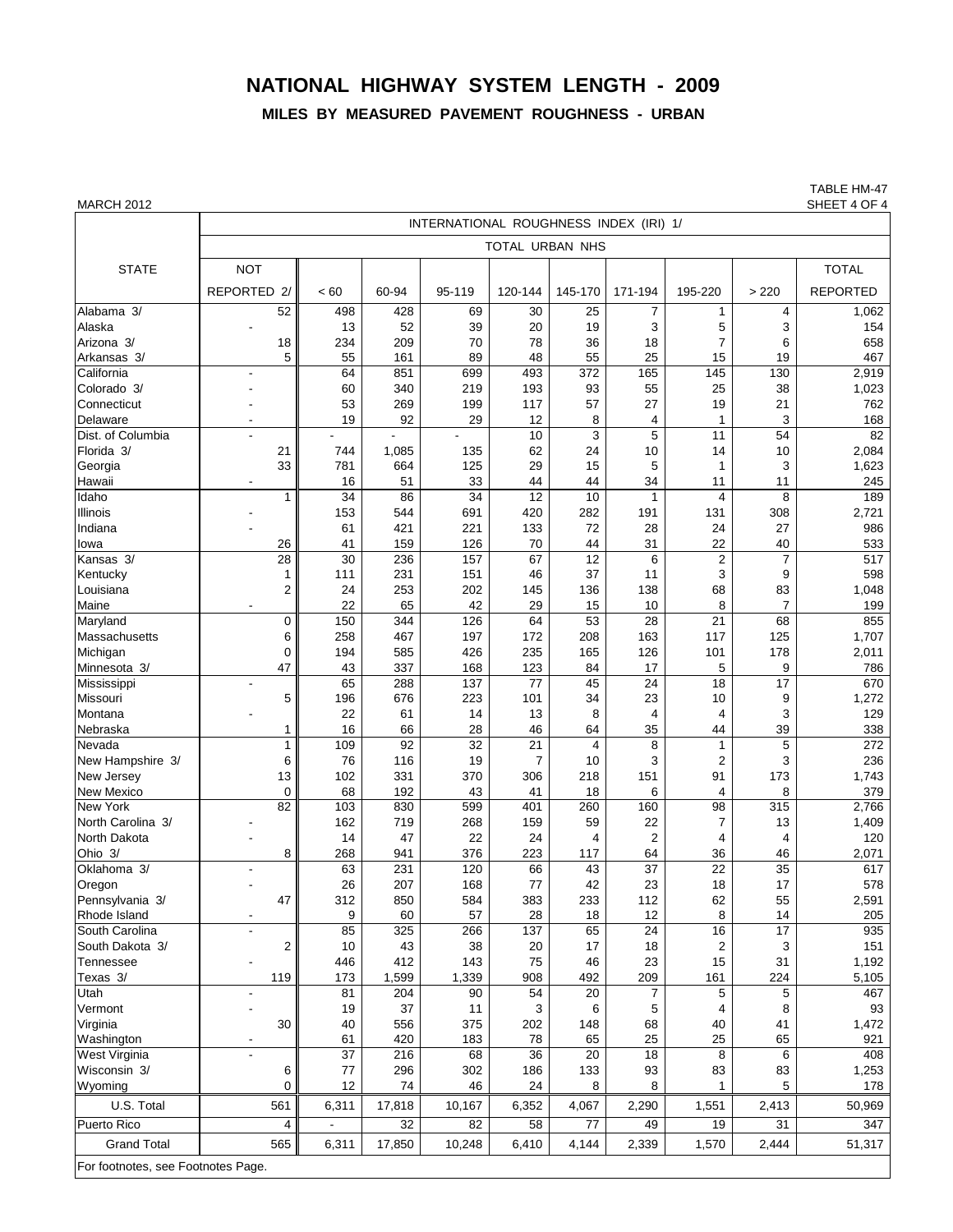## **NATIONAL HIGHWAY SYSTEM LENGTH - 2009**

## **MILES BY MEASURED PAVEMENT ROUGHNESS - URBAN**

TABLE HM-47<br>SHEET 4 OF 4

| MARCH 2012                         |                                        |                 |        |                 |                 |                |                |                         |                 | SHEET 4 OF 4    |  |  |
|------------------------------------|----------------------------------------|-----------------|--------|-----------------|-----------------|----------------|----------------|-------------------------|-----------------|-----------------|--|--|
|                                    | INTERNATIONAL ROUGHNESS INDEX (IRI) 1/ |                 |        |                 |                 |                |                |                         |                 |                 |  |  |
|                                    |                                        |                 |        |                 | TOTAL URBAN NHS |                |                |                         |                 |                 |  |  |
| <b>STATE</b>                       | <b>NOT</b>                             |                 |        |                 |                 |                |                |                         |                 | <b>TOTAL</b>    |  |  |
|                                    | REPORTED 2/                            | < 60            | 60-94  | 95-119          | 120-144         | 145-170        | 171-194        | 195-220                 | > 220           | <b>REPORTED</b> |  |  |
| Alabama <sub>3/</sub>              | 52                                     | 498             | 428    | 69              | 30              | 25             | 7              | $\mathbf{1}$            | 4               | 1,062           |  |  |
| Alaska                             | $\overline{\phantom{a}}$               | 13              | 52     | 39              | 20              | 19             | 3              | 5                       | 3               | 154             |  |  |
| Arizona 3/                         | 18                                     | 234             | 209    | 70              | 78              | 36             | 18             | $\overline{7}$          | 6               | 658             |  |  |
| Arkansas 3/                        | 5                                      | 55              | 161    | 89              | 48              | 55             | 25             | 15                      | 19              | 467             |  |  |
| California                         |                                        | 64              | 851    | 699             | 493             | 372            | 165            | 145                     | 130             | 2,919           |  |  |
| Colorado 3/                        |                                        | 60              | 340    | 219             | 193             | 93             | 55             | 25                      | 38              | 1,023           |  |  |
| Connecticut                        |                                        | 53              | 269    | 199             | 117             | 57             | 27             | 19                      | 21              | 762             |  |  |
| Delaware                           |                                        | 19              | 92     | 29              | 12              | 8              | 4              | $\mathbf{1}$            | 3               | 168             |  |  |
| Dist. of Columbia                  |                                        |                 |        |                 | 10              | 3              | 5              | 11                      | 54              | 82              |  |  |
| Florida 3/                         | 21                                     | 744             | 1,085  | 135             | 62              | 24             | 10             | 14                      | 10              | 2,084           |  |  |
| Georgia                            | 33                                     | 781             | 664    | 125             | 29              | 15             | 5              | 1                       | 3               | 1,623           |  |  |
| Hawaii                             |                                        | 16              | 51     | 33              | 44              | 44             | 34             | 11                      | 11              | 245             |  |  |
| Idaho                              | 1                                      | $\overline{34}$ | 86     | $\overline{34}$ | $\overline{12}$ | 10             | 1              | $\overline{\mathbf{4}}$ | 8               | 189             |  |  |
| Illinois                           |                                        | 153             | 544    | 691             | 420             | 282            | 191            | 131                     | 308             | 2,721           |  |  |
| Indiana                            |                                        | 61              | 421    | 221             | 133             | 72             | 28             | 24                      | 27              | 986             |  |  |
| lowa                               | 26                                     | 41              | 159    | 126             | 70              | 44             | 31             | 22                      | 40              | 533             |  |  |
| Kansas 3/                          | 28                                     | 30              | 236    | 157             | 67              | 12             | 6              | $\overline{2}$          | $\overline{7}$  | 517             |  |  |
| Kentucky                           | 1                                      | 111             | 231    | 151             | 46              | 37             | 11             | 3                       | 9               | 598             |  |  |
| Louisiana                          | $\overline{2}$                         | 24              | 253    | 202             | 145             | 136            | 138            | 68                      | 83              | 1,048           |  |  |
| Maine                              |                                        | 22              | 65     | 42              | 29              | 15             | 10             | 8                       | $\overline{7}$  | 199             |  |  |
| Maryland                           | 0                                      | 150             | 344    | 126             | 64              | 53             | 28             | 21                      | 68              | 855             |  |  |
| <b>Massachusetts</b>               | 6                                      | 258             | 467    | 197             | 172             | 208            | 163            | 117                     | 125             | 1,707           |  |  |
| Michigan                           | 0                                      | 194             | 585    | 426             | 235             | 165            | 126            | 101                     | 178             | 2,011           |  |  |
| Minnesota 3/                       | 47                                     | 43              | 337    | 168             | 123             | 84             | 17             | 5                       | 9               | 786             |  |  |
| Mississippi                        | $\blacksquare$                         | 65              | 288    | 137             | 77              | 45             | 24             | 18                      | 17              | 670             |  |  |
| Missouri                           | 5                                      | 196             | 676    | 223             | 101             | 34             | 23             | 10                      | 9               | 1,272           |  |  |
| Montana                            |                                        | 22              | 61     | 14              | 13              | 8              | 4              | $\overline{4}$          | 3               | 129             |  |  |
| Nebraska                           | 1                                      | 16              | 66     | 28              | 46              | 64             | 35             | 44                      | 39              | 338             |  |  |
| Nevada                             | 1                                      | 109             | 92     | $\overline{32}$ | 21              | $\overline{4}$ | 8              | 1                       | 5               | 272             |  |  |
| New Hampshire 3/                   | 6                                      | 76              | 116    | 19              | $\overline{7}$  | 10             | 3              | $\overline{2}$          | 3               | 236             |  |  |
| New Jersey                         | 13                                     | 102             | 331    | 370             | 306             | 218            | 151            | 91                      | 173             | 1,743           |  |  |
| New Mexico                         | $\mathbf 0$                            | 68              | 192    | 43              | 41              | 18             | 6              | $\overline{4}$          | 8               | 379             |  |  |
| New York                           | 82                                     | 103             | 830    | 599             | 401             | 260            | 160            | 98                      | 315             | 2,766           |  |  |
| North Carolina 3/                  |                                        | 162             | 719    | 268             | 159             | 59             | 22             | 7                       | 13              | 1,409           |  |  |
| North Dakota                       |                                        | 14              | 47     | 22              | 24              | 4              | $\overline{2}$ | $\overline{4}$          | 4               | 120             |  |  |
| Ohio 3/                            | 8                                      | 268             | 941    | 376             | 223             | 117            | 64             | 36                      | 46              | 2,071           |  |  |
| Oklahoma 3/                        |                                        | 63              | 231    | 120             | 66              | 43             | 37             | 22                      | 35              | 617             |  |  |
| Oregon                             |                                        | 26              | 207    | 168             | 77              | 42             | 23             | 18                      | 17              | 578             |  |  |
| Pennsylvania 3/                    | 47                                     | 312             | 850    | 584             | 383             | 233            | 112            | 62                      | 55              | 2,591           |  |  |
| Rhode Island                       | $\overline{\phantom{a}}$               | 9               | 60     | 57              | 28              | 18             | 12             | 8                       | 14              | 205             |  |  |
| South Carolina                     | $\blacksquare$                         | 85              | 325    | 266             | 137             | 65             | 24             | 16                      | $\overline{17}$ | 935             |  |  |
| South Dakota 3/                    | 2                                      | 10              | 43     | 38              | 20              | 17             | 18             | $\overline{c}$          | 3               | 151             |  |  |
| Tennessee                          |                                        | 446             | 412    | 143             | 75              | 46             | 23             | 15                      | 31              | 1,192           |  |  |
| Texas 3/                           | 119                                    | 173             | 1,599  | 1,339           | 908             | 492            | 209            | 161                     | 224             | 5,105           |  |  |
| Utah                               |                                        | 81              | 204    | 90              | 54              | 20             | 7              | 5                       | 5               | 467             |  |  |
| Vermont                            |                                        | 19              | 37     | 11              | 3               | 6              | 5              | 4                       | 8               | 93              |  |  |
| Virginia                           | 30                                     | 40              | 556    | 375             | 202             | 148            | 68             | 40                      | 41              | 1,472           |  |  |
| Washington                         |                                        | 61              | 420    | 183             | 78              | 65             | 25             | 25                      | 65              | 921             |  |  |
| West Virginia                      |                                        | 37              | 216    | 68              | 36              | 20             | 18             | 8                       | 6               | 408             |  |  |
| Wisconsin 3/                       | 6                                      | 77              | 296    | 302             | 186             | 133            | 93             | 83                      | 83              | 1,253           |  |  |
| Wyomina                            | 0                                      | 12              | 74     | 46              | 24              | 8              | 8              | $\mathbf{1}$            | 5               | 178             |  |  |
| U.S. Total                         | 561                                    | 6,311           | 17,818 | 10,167          | 6,352           | 4,067          | 2,290          | 1,551                   | 2,413           | 50,969          |  |  |
| Puerto Rico                        | 4                                      |                 | 32     | 82              | 58              | 77             | 49             | 19                      | 31              | 347             |  |  |
| <b>Grand Total</b>                 | 565                                    | 6,311           | 17,850 | 10,248          | 6,410           | 4,144          | 2,339          | 1,570                   | 2,444           | 51,317          |  |  |
| For footnotes, see Footnotes Page. |                                        |                 |        |                 |                 |                |                |                         |                 |                 |  |  |